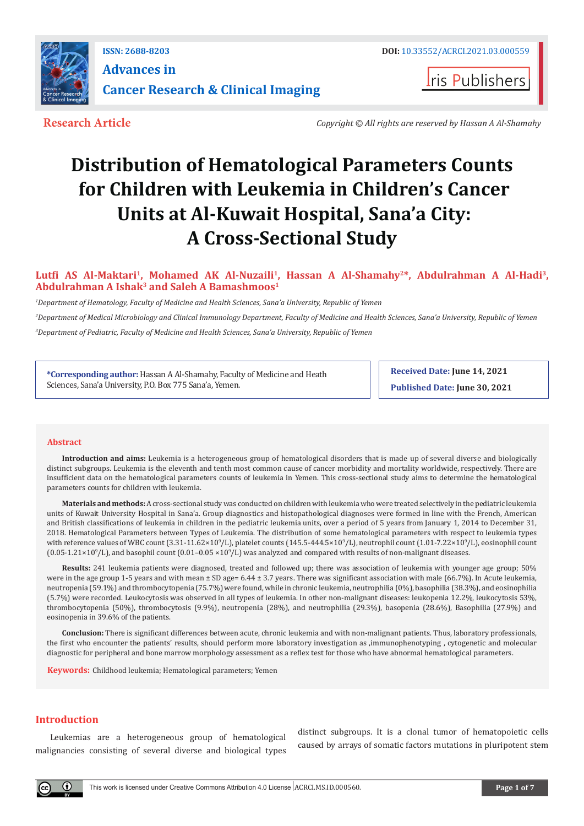

**ISSN: 2688-8203 DOI:** [10.33552/ACRCI.2021.03.000559](http://dx.doi.org/10.33552/ACRCI.2021.03.000559) **Advances in Cancer Research & Clinical Imaging** 

**Iris Publishers** 

**Research Article** *Copyright © All rights are reserved by Hassan A Al-Shamahy*

# **Distribution of Hematological Parameters Counts for Children with Leukemia in Children's Cancer Units at Al-Kuwait Hospital, Sana'a City: A Cross-Sectional Study**

## **Lutfi AS Al-Maktari<sup>1</sup>, Mohamed AK Al-Nuzaili1, Hassan A Al-Shamahy2\*, Abdulrahman A Al-Hadi3, Abdulrahman A Ishak3 and Saleh A Bamashmoos1**

*1 Department of Hematology, Faculty of Medicine and Health Sciences, Sana'a University, Republic of Yemen 2 Department of Medical Microbiology and Clinical Immunology Department, Faculty of Medicine and Health Sciences, Sana'a University, Republic of Yemen 3 Department of Pediatric, Faculty of Medicine and Health Sciences, Sana'a University, Republic of Yemen* 

**\*Corresponding author:** Hassan A Al-Shamahy, Faculty of Medicine and Heath Sciences, Sana'a University, P.O. Box 775 Sana'a, Yemen.

**Received Date: June 14, 2021 Published Date: June 30, 2021**

#### **Abstract**

**Introduction and aims:** Leukemia is a heterogeneous group of hematological disorders that is made up of several diverse and biologically distinct subgroups. Leukemia is the eleventh and tenth most common cause of cancer morbidity and mortality worldwide, respectively. There are insufficient data on the hematological parameters counts of leukemia in Yemen. This cross-sectional study aims to determine the hematological parameters counts for children with leukemia.

**Materials and methods:** A cross-sectional study was conducted on children with leukemia who were treated selectively in the pediatric leukemia units of Kuwait University Hospital in Sana'a. Group diagnostics and histopathological diagnoses were formed in line with the French, American and British classifications of leukemia in children in the pediatric leukemia units, over a period of 5 years from January 1, 2014 to December 31, 2018. Hematological Parameters between Types of Leukemia. The distribution of some hematological parameters with respect to leukemia types with reference values of WBC count (3.31-11.62×10°/L), platelet counts (145.5-444.5×10°/L), neutrophil count (1.01-7.22×10°/L), eosinophil count  $(0.05-1.21\times10^{9}/L)$ , and basophil count  $(0.01-0.05\times10^{9}/L)$  was analyzed and compared with results of non-malignant diseases.

**Results:** 241 leukemia patients were diagnosed, treated and followed up; there was association of leukemia with younger age group; 50% were in the age group 1-5 years and with mean  $\pm$  SD age= 6.44  $\pm$  3.7 years. There was significant association with male (66.7%). In Acute leukemia, neutropenia (59.1%) and thrombocytopenia (75.7%) were found, while in chronic leukemia, neutrophilia (0%), basophilia (38.3%), and eosinophilia (5.7%) were recorded. Leukocytosis was observed in all types of leukemia. In other non-malignant diseases: leukopenia 12.2%, leukocytosis 53%, thrombocytopenia (50%), thrombocytosis (9.9%), neutropenia (28%), and neutrophilia (29.3%), basopenia (28.6%), Basophilia (27.9%) and eosinopenia in 39.6% of the patients.

**Conclusion:** There is significant differences between acute, chronic leukemia and with non-malignant patients. Thus, laboratory professionals, the first who encounter the patients' results, should perform more laboratory investigation as ,immunophenotyping , cytogenetic and molecular diagnostic for peripheral and bone marrow morphology assessment as a reflex test for those who have abnormal hematological parameters.

**Keywords:** Childhood leukemia; Hematological parameters; Yemen

### **Introduction**

Leukemias are a heterogeneous group of hematological malignancies consisting of several diverse and biological types distinct subgroups. It is a clonal tumor of hematopoietic cells caused by arrays of somatic factors mutations in pluripotent stem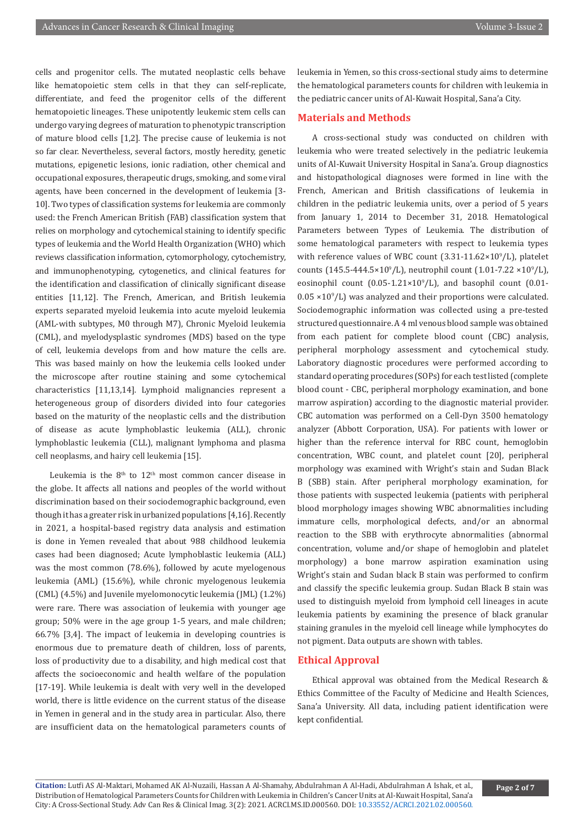cells and progenitor cells. The mutated neoplastic cells behave like hematopoietic stem cells in that they can self-replicate, differentiate, and feed the progenitor cells of the different hematopoietic lineages. These unipotently leukemic stem cells can undergo varying degrees of maturation to phenotypic transcription of mature blood cells [1,2]. The precise cause of leukemia is not so far clear. Nevertheless, several factors, mostly heredity, genetic mutations, epigenetic lesions, ionic radiation, other chemical and occupational exposures, therapeutic drugs, smoking, and some viral agents, have been concerned in the development of leukemia [3- 10]. Two types of classification systems for leukemia are commonly used: the French American British (FAB) classification system that relies on morphology and cytochemical staining to identify specific types of leukemia and the World Health Organization (WHO) which reviews classification information, cytomorphology, cytochemistry, and immunophenotyping, cytogenetics, and clinical features for the identification and classification of clinically significant disease entities [11,12]. The French, American, and British leukemia experts separated myeloid leukemia into acute myeloid leukemia (AML-with subtypes, M0 through M7), Chronic Myeloid leukemia (CML), and myelodysplastic syndromes (MDS) based on the type of cell, leukemia develops from and how mature the cells are. This was based mainly on how the leukemia cells looked under the microscope after routine staining and some cytochemical characteristics [11,13,14]. Lymphoid malignancies represent a heterogeneous group of disorders divided into four categories based on the maturity of the neoplastic cells and the distribution of disease as acute lymphoblastic leukemia (ALL), chronic lymphoblastic leukemia (CLL), malignant lymphoma and plasma cell neoplasms, and hairy cell leukemia [15].

Leukemia is the  $8<sup>th</sup>$  to  $12<sup>th</sup>$  most common cancer disease in the globe. It affects all nations and peoples of the world without discrimination based on their sociodemographic background, even though it has a greater risk in urbanized populations [4,16]. Recently in 2021, a hospital-based registry data analysis and estimation is done in Yemen revealed that about 988 childhood leukemia cases had been diagnosed; Acute lymphoblastic leukemia (ALL) was the most common (78.6%), followed by acute myelogenous leukemia (AML) (15.6%), while chronic myelogenous leukemia (CML) (4.5%) and Juvenile myelomonocytic leukemia (JML) (1.2%) were rare. There was association of leukemia with younger age group; 50% were in the age group 1-5 years, and male children; 66.7% [3,4]. The impact of leukemia in developing countries is enormous due to premature death of children, loss of parents, loss of productivity due to a disability, and high medical cost that affects the socioeconomic and health welfare of the population [17-19]. While leukemia is dealt with very well in the developed world, there is little evidence on the current status of the disease in Yemen in general and in the study area in particular. Also, there are insufficient data on the hematological parameters counts of leukemia in Yemen, so this cross-sectional study aims to determine the hematological parameters counts for children with leukemia in the pediatric cancer units of Al-Kuwait Hospital, Sana'a City.

### **Materials and Methods**

A cross-sectional study was conducted on children with leukemia who were treated selectively in the pediatric leukemia units of Al-Kuwait University Hospital in Sana'a. Group diagnostics and histopathological diagnoses were formed in line with the French, American and British classifications of leukemia in children in the pediatric leukemia units, over a period of 5 years from January 1, 2014 to December 31, 2018. Hematological Parameters between Types of Leukemia. The distribution of some hematological parameters with respect to leukemia types with reference values of WBC count  $(3.31\n-11.62\times10^9/L)$ , platelet counts (145.5-444.5×10<sup>9</sup>/L), neutrophil count (1.01-7.22 ×10<sup>9</sup>/L), eosinophil count  $(0.05{\text -}1.21{\times}10^9{\text{/L}})$ , and basophil count  $(0.01{\text -}1.01{\text -}1.01{\times}10^9{\text{/L}})$  $0.05 \times 10^9$ /L) was analyzed and their proportions were calculated. Sociodemographic information was collected using a pre-tested structured questionnaire. A 4 ml venous blood sample was obtained from each patient for complete blood count (CBC) analysis, peripheral morphology assessment and cytochemical study. Laboratory diagnostic procedures were performed according to standard operating procedures (SOPs) for each test listed (complete blood count - CBC, peripheral morphology examination, and bone marrow aspiration) according to the diagnostic material provider. CBC automation was performed on a Cell-Dyn 3500 hematology analyzer (Abbott Corporation, USA). For patients with lower or higher than the reference interval for RBC count, hemoglobin concentration, WBC count, and platelet count [20], peripheral morphology was examined with Wright's stain and Sudan Black B (SBB) stain. After peripheral morphology examination, for those patients with suspected leukemia (patients with peripheral blood morphology images showing WBC abnormalities including immature cells, morphological defects, and/or an abnormal reaction to the SBB with erythrocyte abnormalities (abnormal concentration, volume and/or shape of hemoglobin and platelet morphology) a bone marrow aspiration examination using Wright's stain and Sudan black B stain was performed to confirm and classify the specific leukemia group. Sudan Black B stain was used to distinguish myeloid from lymphoid cell lineages in acute leukemia patients by examining the presence of black granular staining granules in the myeloid cell lineage while lymphocytes do not pigment. Data outputs are shown with tables.

## **Ethical Approval**

Ethical approval was obtained from the Medical Research & Ethics Committee of the Faculty of Medicine and Health Sciences, Sana'a University. All data, including patient identification were kept confidential.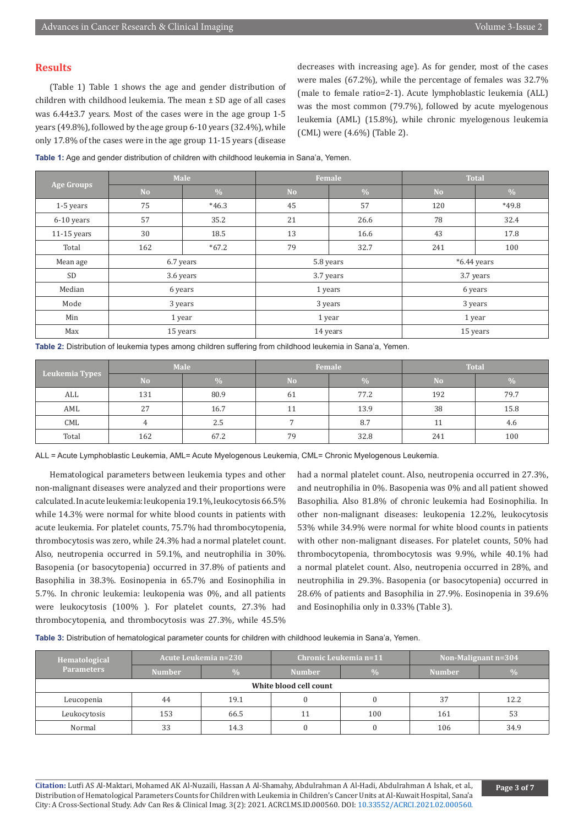#### **Results**

(Table 1) Table 1 shows the age and gender distribution of children with childhood leukemia. The mean ± SD age of all cases was 6.44±3.7 years. Most of the cases were in the age group 1-5 years (49.8%), followed by the age group 6-10 years (32.4%), while only 17.8% of the cases were in the age group 11-15 years (disease

decreases with increasing age). As for gender, most of the cases were males (67.2%), while the percentage of females was 32.7% (male to female ratio=2-1). Acute lymphoblastic leukemia (ALL) was the most common (79.7%), followed by acute myelogenous leukemia (AML) (15.8%), while chronic myelogenous leukemia (CML) were (4.6%) (Table 2).

| Table 1: Age and gender distribution of children with childhood leukemia in Sana'a, Yemen. |  |
|--------------------------------------------------------------------------------------------|--|
|--------------------------------------------------------------------------------------------|--|

| <b>Age Groups</b> | Male      |               |                | Female        | <b>Total</b>  |         |
|-------------------|-----------|---------------|----------------|---------------|---------------|---------|
|                   | <b>No</b> | $\frac{0}{0}$ | N <sub>o</sub> | $\frac{0}{0}$ | <b>No</b>     | $\%$    |
| 1-5 years         | 75        | $*46.3$       | 45             | 57            | 120           | $*49.8$ |
| 6-10 years        | 57        | 35.2          | 21             | 26.6          | 78            | 32.4    |
| $11-15$ years     | 30        | 18.5          | 13             | 16.6          | 43            | 17.8    |
| Total             | 162       | $*67.2$       | 79             | 32.7          | 241           | 100     |
| Mean age          | 6.7 years |               | 5.8 years      |               | $*6.44$ years |         |
| SD                | 3.6 years |               | 3.7 years      |               | 3.7 years     |         |
| Median            | 6 years   |               | 1 years        |               | 6 years       |         |
| Mode              | 3 years   |               | 3 years        |               | 3 years       |         |
| Min               | 1 year    |               | 1 year         |               | 1 year        |         |
| Max               | 15 years  |               | 14 years       |               | 15 years      |         |

| Table 2: Distribution of leukemia types among children suffering from childhood leukemia in Sana'a, Yemen. |  |  |  |  |  |  |  |
|------------------------------------------------------------------------------------------------------------|--|--|--|--|--|--|--|
|------------------------------------------------------------------------------------------------------------|--|--|--|--|--|--|--|

| Leukemia Types | <b>Male</b> |               |           | Female        | <b>Total</b> |               |
|----------------|-------------|---------------|-----------|---------------|--------------|---------------|
|                | <b>No</b>   | $\frac{0}{6}$ | <b>No</b> | $\frac{0}{0}$ | No           | $\frac{0}{0}$ |
| ALL            | 131         | 80.9          | 61        | 77.2          | 192          | 79.7          |
| AML            | 27          | 16.7          |           | 13.9          | 38           | 15.8          |
| CML            |             | 2.5           |           | 8.7           | -11          | 4.6           |
| Total          | 162         | 67.2          | 79        | 32.8          | 241          | 100           |

ALL = Acute Lymphoblastic Leukemia, AML= Acute Myelogenous Leukemia, CML= Chronic Myelogenous Leukemia.

Hematological parameters between leukemia types and other non-malignant diseases were analyzed and their proportions were calculated. In acute leukemia: leukopenia 19.1%, leukocytosis 66.5% while 14.3% were normal for white blood counts in patients with acute leukemia. For platelet counts, 75.7% had thrombocytopenia, thrombocytosis was zero, while 24.3% had a normal platelet count. Also, neutropenia occurred in 59.1%, and neutrophilia in 30%. Basopenia (or basocytopenia) occurred in 37.8% of patients and Basophilia in 38.3%. Eosinopenia in 65.7% and Eosinophilia in 5.7%. In chronic leukemia: leukopenia was 0%, and all patients were leukocytosis (100% ). For platelet counts, 27.3% had thrombocytopenia, and thrombocytosis was 27.3%, while 45.5% had a normal platelet count. Also, neutropenia occurred in 27.3%, and neutrophilia in 0%. Basopenia was 0% and all patient showed Basophilia. Also 81.8% of chronic leukemia had Eosinophilia. In other non-malignant diseases: leukopenia 12.2%, leukocytosis 53% while 34.9% were normal for white blood counts in patients with other non-malignant diseases. For platelet counts, 50% had thrombocytopenia, thrombocytosis was 9.9%, while 40.1% had a normal platelet count. Also, neutropenia occurred in 28%, and neutrophilia in 29.3%. Basopenia (or basocytopenia) occurred in 28.6% of patients and Basophilia in 27.9%. Eosinopenia in 39.6% and Eosinophilia only in 0.33% (Table 3).

**Table 3:** Distribution of hematological parameter counts for children with childhood leukemia in Sana'a, Yemen.

| Hematological<br><b>Parameters</b> | Acute Leukemia n=230 |               | Chronic Leukemia n=11 |               | Non-Malignant $n=304$ |               |  |  |
|------------------------------------|----------------------|---------------|-----------------------|---------------|-----------------------|---------------|--|--|
|                                    | <b>Number</b>        | $\frac{0}{0}$ | <b>Number</b>         | $\frac{0}{0}$ | <b>Number</b>         | $\frac{0}{0}$ |  |  |
| White blood cell count             |                      |               |                       |               |                       |               |  |  |
| Leucopenia                         | 44                   | 19.1          |                       |               | 37                    | 12.2          |  |  |
| Leukocytosis                       | 153                  | 66.5          |                       | 100           | 161                   | 53            |  |  |
| Normal                             | 33                   | 14.3          |                       |               | 106                   | 34.9          |  |  |

**Citation:** Lutfi AS Al-Maktari, Mohamed AK Al-Nuzaili, Hassan A Al-Shamahy, Abdulrahman A Al-Hadi, Abdulrahman A Ishak, et al., Distribution of Hematological Parameters Counts for Children with Leukemia in Children's Cancer Units at Al-Kuwait Hospital, Sana'a City: A Cross-Sectional Study. Adv Can Res & Clinical Imag. 3(2): 2021. ACRCI.MS.ID.000560. DOI: [10.33552/ACRCI.2021.02.000560.](http://dx.doi.org/10.33552/ACRCI.2021.03.000560)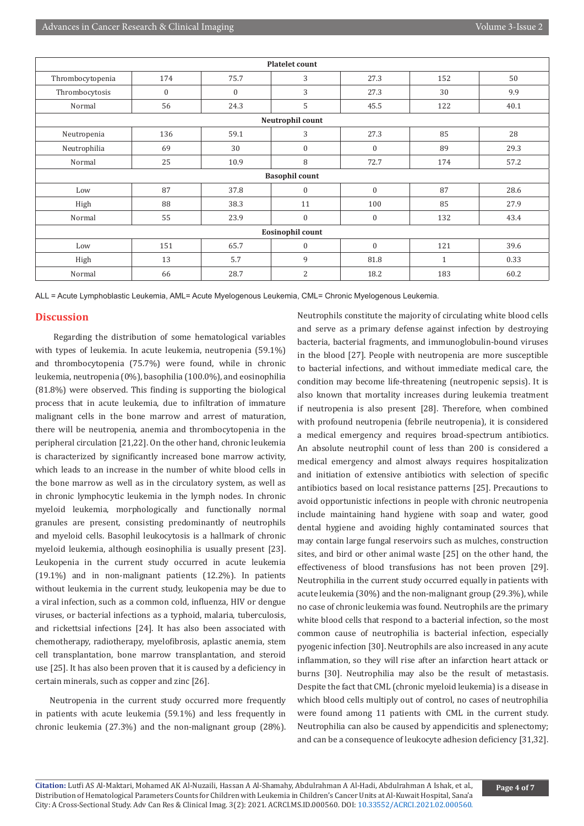| <b>Platelet count</b> |                  |              |                       |              |              |      |  |
|-----------------------|------------------|--------------|-----------------------|--------------|--------------|------|--|
| Thrombocytopenia      | 174              | 75.7         | 3                     | 27.3         | 152          | 50   |  |
| Thrombocytosis        | $\boldsymbol{0}$ | $\mathbf{0}$ | 3                     | 27.3         | 30           | 9.9  |  |
| Normal                | 56               | 24.3         | 5                     | 45.5         | 122          | 40.1 |  |
|                       |                  |              | Neutrophil count      |              |              |      |  |
| Neutropenia           | 136              | 59.1         | 3                     | 27.3         | 85           | 28   |  |
| Neutrophilia          | 69               | 30           | $\mathbf{0}$          | $\mathbf{0}$ | 89           | 29.3 |  |
| Normal                | 25               | 10.9         | 8                     | 72.7         | 174          | 57.2 |  |
|                       |                  |              | <b>Basophil count</b> |              |              |      |  |
| Low                   | 87               | 37.8         | $\Omega$              | $\mathbf{0}$ | 87           | 28.6 |  |
| High                  | 88               | 38.3         | 11                    | 100          | 85           | 27.9 |  |
| Normal                | 55               | 23.9         | $\mathbf{0}$          | $\mathbf{0}$ | 132          | 43.4 |  |
| Eosinophil count      |                  |              |                       |              |              |      |  |
| Low                   | 151              | 65.7         | $\mathbf{0}$          | $\mathbf{0}$ | 121          | 39.6 |  |
| High                  | 13               | 5.7          | 9                     | 81.8         | $\mathbf{1}$ | 0.33 |  |
| Normal                | 66               | 28.7         | $\overline{2}$        | 18.2         | 183          | 60.2 |  |

ALL = Acute Lymphoblastic Leukemia, AML= Acute Myelogenous Leukemia, CML= Chronic Myelogenous Leukemia.

## **Discussion**

 Regarding the distribution of some hematological variables with types of leukemia. In acute leukemia, neutropenia (59.1%) and thrombocytopenia (75.7%) were found, while in chronic leukemia, neutropenia (0%), basophilia (100.0%), and eosinophilia (81.8%) were observed. This finding is supporting the biological process that in acute leukemia, due to infiltration of immature malignant cells in the bone marrow and arrest of maturation, there will be neutropenia, anemia and thrombocytopenia in the peripheral circulation [21,22]. On the other hand, chronic leukemia is characterized by significantly increased bone marrow activity, which leads to an increase in the number of white blood cells in the bone marrow as well as in the circulatory system, as well as in chronic lymphocytic leukemia in the lymph nodes. In chronic myeloid leukemia, morphologically and functionally normal granules are present, consisting predominantly of neutrophils and myeloid cells. Basophil leukocytosis is a hallmark of chronic myeloid leukemia, although eosinophilia is usually present [23]. Leukopenia in the current study occurred in acute leukemia (19.1%) and in non-malignant patients (12.2%). In patients without leukemia in the current study, leukopenia may be due to a viral infection, such as a common cold, influenza, HIV or dengue viruses, or bacterial infections as a typhoid, malaria, tuberculosis, and rickettsial infections [24]. It has also been associated with chemotherapy, radiotherapy, myelofibrosis, aplastic anemia, stem cell transplantation, bone marrow transplantation, and steroid use [25]. It has also been proven that it is caused by a deficiency in certain minerals, such as copper and zinc [26].

Neutropenia in the current study occurred more frequently in patients with acute leukemia (59.1%) and less frequently in chronic leukemia (27.3%) and the non-malignant group (28%). Neutrophils constitute the majority of circulating white blood cells and serve as a primary defense against infection by destroying bacteria, bacterial fragments, and immunoglobulin-bound viruses in the blood [27]. People with neutropenia are more susceptible to bacterial infections, and without immediate medical care, the condition may become life-threatening (neutropenic sepsis). It is also known that mortality increases during leukemia treatment if neutropenia is also present [28]. Therefore, when combined with profound neutropenia (febrile neutropenia), it is considered a medical emergency and requires broad-spectrum antibiotics. An absolute neutrophil count of less than 200 is considered a medical emergency and almost always requires hospitalization and initiation of extensive antibiotics with selection of specific antibiotics based on local resistance patterns [25]. Precautions to avoid opportunistic infections in people with chronic neutropenia include maintaining hand hygiene with soap and water, good dental hygiene and avoiding highly contaminated sources that may contain large fungal reservoirs such as mulches, construction sites, and bird or other animal waste [25] on the other hand, the effectiveness of blood transfusions has not been proven [29]. Neutrophilia in the current study occurred equally in patients with acute leukemia (30%) and the non-malignant group (29.3%), while no case of chronic leukemia was found. Neutrophils are the primary white blood cells that respond to a bacterial infection, so the most common cause of neutrophilia is bacterial infection, especially pyogenic infection [30]. Neutrophils are also increased in any acute inflammation, so they will rise after an infarction heart attack or burns [30]. Neutrophilia may also be the result of metastasis. Despite the fact that CML (chronic myeloid leukemia) is a disease in which blood cells multiply out of control, no cases of neutrophilia were found among 11 patients with CML in the current study. Neutrophilia can also be caused by appendicitis and splenectomy; and can be a consequence of leukocyte adhesion deficiency [31,32].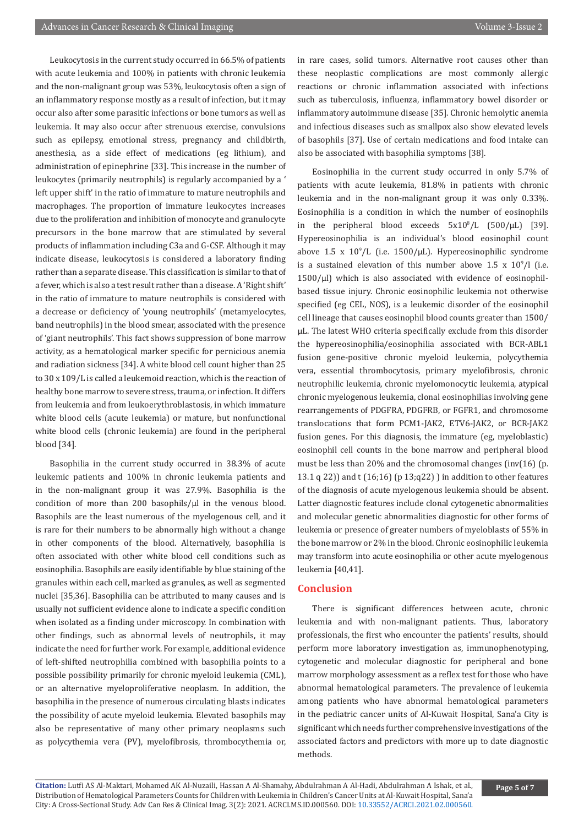Leukocytosis in the current study occurred in 66.5% of patients with acute leukemia and 100% in patients with chronic leukemia and the non-malignant group was 53%, leukocytosis often a sign of an inflammatory response mostly as a result of infection, but it may occur also after some parasitic infections or bone tumors as well as leukemia. It may also occur after strenuous exercise, convulsions such as epilepsy, emotional stress, pregnancy and childbirth, anesthesia, as a side effect of medications (eg lithium), and administration of epinephrine [33]. This increase in the number of leukocytes (primarily neutrophils) is regularly accompanied by a ' left upper shift' in the ratio of immature to mature neutrophils and macrophages. The proportion of immature leukocytes increases due to the proliferation and inhibition of monocyte and granulocyte precursors in the bone marrow that are stimulated by several products of inflammation including C3a and G-CSF. Although it may indicate disease, leukocytosis is considered a laboratory finding rather than a separate disease. This classification is similar to that of a fever, which is also a test result rather than a disease. A 'Right shift' in the ratio of immature to mature neutrophils is considered with a decrease or deficiency of 'young neutrophils' (metamyelocytes, band neutrophils) in the blood smear, associated with the presence of 'giant neutrophils'. This fact shows suppression of bone marrow activity, as a hematological marker specific for pernicious anemia and radiation sickness [34]. A white blood cell count higher than 25 to 30 x 109/L is called a leukemoid reaction, which is the reaction of healthy bone marrow to severe stress, trauma, or infection. It differs from leukemia and from leukoerythroblastosis, in which immature white blood cells (acute leukemia) or mature, but nonfunctional white blood cells (chronic leukemia) are found in the peripheral blood [34].

Basophilia in the current study occurred in 38.3% of acute leukemic patients and 100% in chronic leukemia patients and in the non-malignant group it was 27.9%. Basophilia is the condition of more than 200 basophils/μl in the venous blood. Basophils are the least numerous of the myelogenous cell, and it is rare for their numbers to be abnormally high without a change in other components of the blood. Alternatively, basophilia is often associated with other white blood cell conditions such as eosinophilia. Basophils are easily identifiable by blue staining of the granules within each cell, marked as granules, as well as segmented nuclei [35,36]. Basophilia can be attributed to many causes and is usually not sufficient evidence alone to indicate a specific condition when isolated as a finding under microscopy. In combination with other findings, such as abnormal levels of neutrophils, it may indicate the need for further work. For example, additional evidence of left-shifted neutrophilia combined with basophilia points to a possible possibility primarily for chronic myeloid leukemia (CML), or an alternative myeloproliferative neoplasm. In addition, the basophilia in the presence of numerous circulating blasts indicates the possibility of acute myeloid leukemia. Elevated basophils may also be representative of many other primary neoplasms such as polycythemia vera (PV), myelofibrosis, thrombocythemia or,

in rare cases, solid tumors. Alternative root causes other than these neoplastic complications are most commonly allergic reactions or chronic inflammation associated with infections such as tuberculosis, influenza, inflammatory bowel disorder or inflammatory autoimmune disease [35]. Chronic hemolytic anemia and infectious diseases such as smallpox also show elevated levels of basophils [37]. Use of certain medications and food intake can also be associated with basophilia symptoms [38].

Eosinophilia in the current study occurred in only 5.7% of patients with acute leukemia, 81.8% in patients with chronic leukemia and in the non-malignant group it was only 0.33%. Eosinophilia is a condition in which the number of eosinophils in the peripheral blood exceeds  $5x10^8/L$  ( $500/\mu L$ ) [39]. Hypereosinophilia is an individual's blood eosinophil count above  $1.5 \times 10^9$ /L (i.e.  $1500$ /µL). Hypereosinophilic syndrome is a sustained elevation of this number above  $1.5 \times 10^9/1$  (i.e. 1500/μl) which is also associated with evidence of eosinophilbased tissue injury. Chronic eosinophilic leukemia not otherwise specified (eg CEL, NOS), is a leukemic disorder of the eosinophil cell lineage that causes eosinophil blood counts greater than 1500/ μL. The latest WHO criteria specifically exclude from this disorder the hypereosinophilia/eosinophilia associated with BCR-ABL1 fusion gene-positive chronic myeloid leukemia, polycythemia vera, essential thrombocytosis, primary myelofibrosis, chronic neutrophilic leukemia, chronic myelomonocytic leukemia, atypical chronic myelogenous leukemia, clonal eosinophilias involving gene rearrangements of PDGFRA, PDGFRB, or FGFR1, and chromosome translocations that form PCM1-JAK2, ETV6-JAK2, or BCR-JAK2 fusion genes. For this diagnosis, the immature (eg, myeloblastic) eosinophil cell counts in the bone marrow and peripheral blood must be less than 20% and the chromosomal changes (inv(16) (p. 13.1 q 22)) and t (16;16) (p 13;q22) ) in addition to other features of the diagnosis of acute myelogenous leukemia should be absent. Latter diagnostic features include clonal cytogenetic abnormalities and molecular genetic abnormalities diagnostic for other forms of leukemia or presence of greater numbers of myeloblasts of 55% in the bone marrow or 2% in the blood. Chronic eosinophilic leukemia may transform into acute eosinophilia or other acute myelogenous leukemia [40,41].

### **Conclusion**

There is significant differences between acute, chronic leukemia and with non-malignant patients. Thus, laboratory professionals, the first who encounter the patients' results, should perform more laboratory investigation as, immunophenotyping, cytogenetic and molecular diagnostic for peripheral and bone marrow morphology assessment as a reflex test for those who have abnormal hematological parameters. The prevalence of leukemia among patients who have abnormal hematological parameters in the pediatric cancer units of Al-Kuwait Hospital, Sana'a City is significant which needs further comprehensive investigations of the associated factors and predictors with more up to date diagnostic methods.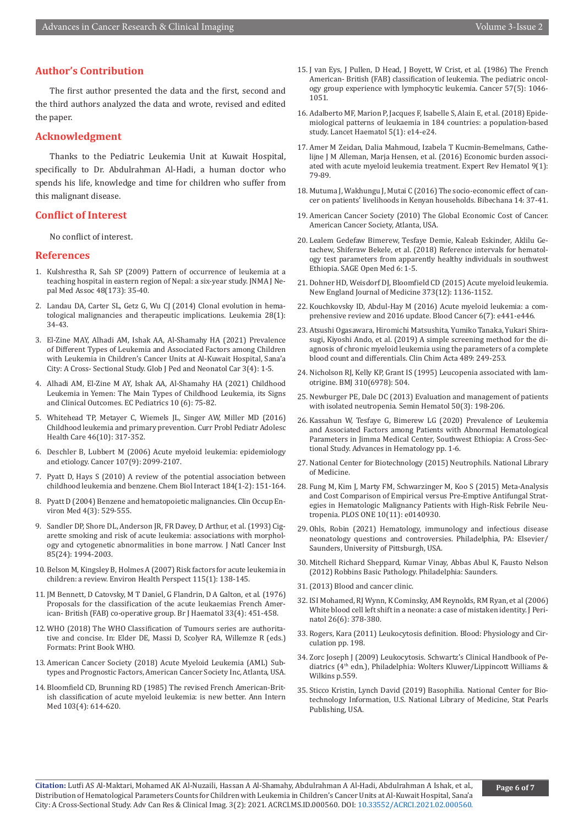## **Author's Contribution**

The first author presented the data and the first, second and the third authors analyzed the data and wrote, revised and edited the paper.

#### **Acknowledgment**

Thanks to the Pediatric Leukemia Unit at Kuwait Hospital, specifically to Dr. Abdulrahman Al-Hadi, a human doctor who spends his life, knowledge and time for children who suffer from this malignant disease.

### **Conflict of Interest**

No conflict of interest.

#### **References**

- 1. [Kulshrestha R, Sah SP \(2009\) Pattern of occurrence of leukemia at a](https://pubmed.ncbi.nlm.nih.gov/19529056/)  [teaching hospital in eastern region of Nepal: a six-year study. JNMA J Ne](https://pubmed.ncbi.nlm.nih.gov/19529056/)[pal Med Assoc 48\(173\): 35-40.](https://pubmed.ncbi.nlm.nih.gov/19529056/)
- 2. [Landau DA, Carter SL, Getz G, Wu CJ \(2014\) Clonal evolution in hema](https://pubmed.ncbi.nlm.nih.gov/23979521/)[tological malignancies and therapeutic implications. Leukemia 28\(1\):](https://pubmed.ncbi.nlm.nih.gov/23979521/)  [34-43.](https://pubmed.ncbi.nlm.nih.gov/23979521/)
- 3. El-Zine MAY, Alhadi AM, Ishak AA, Al-Shamahy HA (2021) Prevalence of Different Types of Leukemia and Associated Factors among Children with Leukemia in Children's Cancer Units at Al-Kuwait Hospital, Sana'a City: A Cross- Sectional Study. Glob J Ped and Neonatol Car 3(4): 1-5.
- 4. Alhadi AM, El-Zine M AY, Ishak AA, Al-Shamahy HA (2021) Childhood Leukemia in Yemen: The Main Types of Childhood Leukemia, its Signs and Clinical Outcomes. EC Pediatrics 10 (6): 75-82.
- 5. [Whitehead TP, Metayer C, Wiemels JL, Singer AW, Miller MD \(2016\)](https://pubmed.ncbi.nlm.nih.gov/27968954/)  [Childhood leukemia and primary prevention. Curr Probl Pediatr Adolesc](https://pubmed.ncbi.nlm.nih.gov/27968954/)  [Health Care 46\(10\): 317-352.](https://pubmed.ncbi.nlm.nih.gov/27968954/)
- 6. [Deschler B, Lubbert M \(2006\) Acute myeloid leukemia: epidemiology](https://pubmed.ncbi.nlm.nih.gov/17019734/)  [and etiology. Cancer 107\(9\): 2099-2107.](https://pubmed.ncbi.nlm.nih.gov/17019734/)
- 7. [Pyatt D, Hays S \(2010\) A review of the potential association between](https://pubmed.ncbi.nlm.nih.gov/20067778/)  [childhood leukemia and benzene. Chem Biol Interact 184\(1-2\): 151-164.](https://pubmed.ncbi.nlm.nih.gov/20067778/)
- 8. [Pyatt D \(2004\) Benzene and hematopoietic malignancies. Clin Occup En](https://pubmed.ncbi.nlm.nih.gov/15325320/)[viron Med 4\(3\): 529-555.](https://pubmed.ncbi.nlm.nih.gov/15325320/)
- 9. [Sandler DP, Shore DL, Anderson JR, FR Davey, D Arthur, et al. \(1993\) Cig](https://pubmed.ncbi.nlm.nih.gov/8246285/)[arette smoking and risk of acute leukemia: associations with morphol](https://pubmed.ncbi.nlm.nih.gov/8246285/)[ogy and cytogenetic abnormalities in bone marrow. J Natl Cancer Inst](https://pubmed.ncbi.nlm.nih.gov/8246285/)  [85\(24\): 1994-2003.](https://pubmed.ncbi.nlm.nih.gov/8246285/)
- 10. [Belson M, Kingsley B, Holmes A \(2007\) Risk factors for acute leukemia in](https://pubmed.ncbi.nlm.nih.gov/17366834/)  [children: a review. Environ Health Perspect 115\(1\): 138-145.](https://pubmed.ncbi.nlm.nih.gov/17366834/)
- 11. [JM Bennett, D Catovsky, M T Daniel, G Flandrin, D A Galton, et al. \(1976\)](https://pubmed.ncbi.nlm.nih.gov/188440/)  [Proposals for the classification of the acute leukaemias French Amer](https://pubmed.ncbi.nlm.nih.gov/188440/)[ican- British \(FAB\) co-operative group. Br J Haematol 33\(4\): 451-458.](https://pubmed.ncbi.nlm.nih.gov/188440/)
- 12. WHO (2018) The WHO Classification of Tumours series are authoritative and concise. In: Elder DE, Massi D, Scolyer RA, Willemze R (eds.) Formats: Print Book WHO.
- 13. American Cancer Society (2018) Acute Myeloid Leukemia (AML) Subtypes and Prognostic Factors, American Cancer Society Inc, Atlanta, USA.
- 14. [Bloomfield CD, Brunning RD \(1985\) The revised French American-Brit](https://pubmed.ncbi.nlm.nih.gov/3862358/)[ish classification of acute myeloid leukemia: is new better. Ann Intern](https://pubmed.ncbi.nlm.nih.gov/3862358/)  [Med 103\(4\): 614-620.](https://pubmed.ncbi.nlm.nih.gov/3862358/)
- 15. [J van Eys, J Pullen, D Head, J Boyett, W Crist, et al. \(1986\) The French](https://pubmed.ncbi.nlm.nih.gov/3484662/) [American- British \(FAB\) classification of leukemia. The pediatric oncol](https://pubmed.ncbi.nlm.nih.gov/3484662/)[ogy group experience with lymphocytic leukemia. Cancer 57\(5\): 1046-](https://pubmed.ncbi.nlm.nih.gov/3484662/) [1051.](https://pubmed.ncbi.nlm.nih.gov/3484662/)
- 16. [Adalberto MF, Marion P, Jacques F, Isabelle S, Alain E, et al. \(2018\) Epide](https://pubmed.ncbi.nlm.nih.gov/29304322/)[miological patterns of leukaemia in 184 countries: a population-based](https://pubmed.ncbi.nlm.nih.gov/29304322/) [study. Lancet Haematol 5\(1\): e14-e24.](https://pubmed.ncbi.nlm.nih.gov/29304322/)
- 17. [Amer M Zeidan, Dalia Mahmoud, Izabela T Kucmin-Bemelmans, Cathe](https://pubmed.ncbi.nlm.nih.gov/26568358/)[lijne J M Alleman, Marja Hensen, et al. \(2016\) Economic burden associ](https://pubmed.ncbi.nlm.nih.gov/26568358/)[ated with acute myeloid leukemia treatment. Expert Rev Hematol 9\(1\):](https://pubmed.ncbi.nlm.nih.gov/26568358/) [79-89.](https://pubmed.ncbi.nlm.nih.gov/26568358/)
- 18. Mutuma J, Wakhungu J, Mutai C (2016) The socio-economic effect of cancer on patients' livelihoods in Kenyan households. Bibechana 14: 37-41.
- 19. American Cancer Society (2010) The Global Economic Cost of Cancer. American Cancer Society, Atlanta, USA.
- 20. Lealem Gedefaw Bimerew, Tesfaye Demie, Kaleab Eskinder, Aklilu Getachew, Shiferaw Bekele, et al. (2018) Reference intervals for hematology test parameters from apparently healthy individuals in southwest Ethiopia. SAGE Open Med 6: 1-5.
- 21. Dohner HD, Weisdorf DJ, Bloomfield CD (2015) Acute myeloid leukemia. New England Journal of Medicine 373(12): 1136-1152.
- 22. [Kouchkovsky ID, Abdul-Hay M \(2016\) Acute myeloid leukemia: a com](https://pubmed.ncbi.nlm.nih.gov/27367478/)[prehensive review and 2016 update. Blood Cancer 6\(7\): e441-e446.](https://pubmed.ncbi.nlm.nih.gov/27367478/)
- 23. [Atsushi Ogasawara, Hiromichi Matsushita, Yumiko Tanaka, Yukari Shira](https://pubmed.ncbi.nlm.nih.gov/30165034/)[sugi, Kiyoshi Ando, et al. \(2019\) A simple screening method for the di](https://pubmed.ncbi.nlm.nih.gov/30165034/)[agnosis of chronic myeloid leukemia using the parameters of a complete](https://pubmed.ncbi.nlm.nih.gov/30165034/) [blood count and differentials. Clin Chim Acta 489: 249-253.](https://pubmed.ncbi.nlm.nih.gov/30165034/)
- 24. [Nicholson RJ, Kelly KP, Grant IS \(1995\) Leucopenia associated with lam](https://pubmed.ncbi.nlm.nih.gov/7888892/)[otrigine. BMJ 310\(6978\): 504.](https://pubmed.ncbi.nlm.nih.gov/7888892/)
- 25. [Newburger PE, Dale DC \(2013\) Evaluation and management of patients](https://pubmed.ncbi.nlm.nih.gov/23953336/) [with isolated neutropenia. Semin Hematol 50\(3\): 198-206.](https://pubmed.ncbi.nlm.nih.gov/23953336/)
- 26. Kassahun W, Tesfaye G, Bimerew LG (2020) Prevalence of Leukemia and Associated Factors among Patients with Abnormal Hematological Parameters in Jimma Medical Center, Southwest Ethiopia: A Cross-Sectional Study. Advances in Hematology pp. 1-6.
- 27. National Center for Biotechnology (2015) Neutrophils. National Library of Medicine.
- 28. [Fung M, Kim J, Marty FM, Schwarzinger M, Koo S \(2015\) Meta-Analysis](https://pubmed.ncbi.nlm.nih.gov/26554923/) [and Cost Comparison of Empirical versus Pre-Emptive Antifungal Strat](https://pubmed.ncbi.nlm.nih.gov/26554923/)[egies in Hematologic Malignancy Patients with High-Risk Febrile Neu](https://pubmed.ncbi.nlm.nih.gov/26554923/)[tropenia. PLOS ONE 10\(11\): e0140930.](https://pubmed.ncbi.nlm.nih.gov/26554923/)
- 29. Ohls, Robin (2021) Hematology, immunology and infectious disease neonatology questions and controversies. Philadelphia, PA: Elsevier/ Saunders, University of Pittsburgh, USA.
- 30. Mitchell Richard Sheppard, Kumar Vinay, Abbas Abul K, Fausto Nelson (2012) Robbins Basic Pathology. Philadelphia: Saunders.
- 31.(2013) Blood and cancer clinic.
- 32. [ISI Mohamed, RJ Wynn, K Cominsky, AM Reynolds, RM Ryan, et al \(2006\)](https://pubmed.ncbi.nlm.nih.gov/16724080/) [White blood cell left shift in a neonate: a case of mistaken identity. J Peri](https://pubmed.ncbi.nlm.nih.gov/16724080/)[natol 26\(6\): 378-380.](https://pubmed.ncbi.nlm.nih.gov/16724080/)
- 33. Rogers, Kara (2011) Leukocytosis definition. Blood: Physiology and Circulation pp. 198.
- 34. Zorc Joseph J (2009) Leukocytosis. Schwartz's Clinical Handbook of Pediatrics (4th edn.), Philadelphia: Wolters Kluwer/Lippincott Williams & Wilkins p.559.
- 35. Sticco Kristin, Lynch David (2019) Basophilia. National Center for Biotechnology Information, U.S. National Library of Medicine, Stat Pearls Publishing, USA.